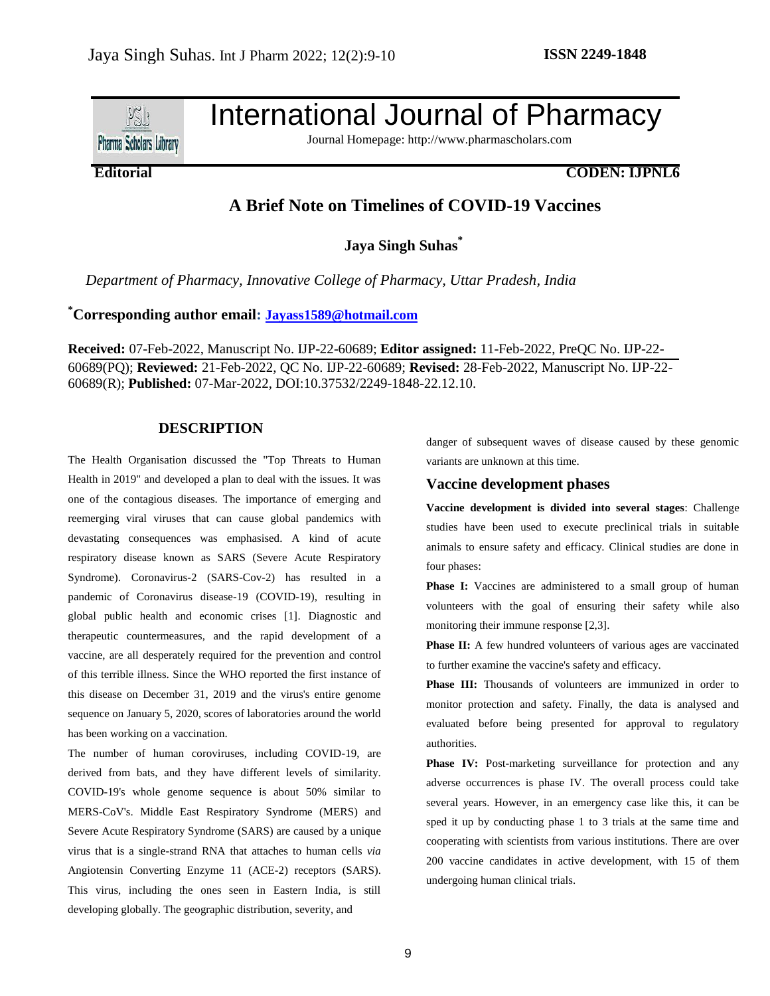

International Journal of Pharmacy

Journal Homepage: http://www.pharmascholars.com

## **Editorial CODEN: IJPNL6**

# **A Brief Note on Timelines of COVID-19 Vaccines**

**Jaya Singh Suhas\***

*Department of Pharmacy, Innovative College of Pharmacy, Uttar Pradesh, India*

# **\*Corresponding author email: [Jayass1589@hotmail.com](mailto:Jayass1589@hotmail.com)**

**Received:** 07-Feb-2022, Manuscript No. IJP-22-60689; **Editor assigned:** 11-Feb-2022, PreQC No. IJP-22- 60689(PQ); **Reviewed:** 21-Feb-2022, QC No. IJP-22-60689; **Revised:** 28-Feb-2022, Manuscript No. IJP-22- 60689(R); **Published:** 07-Mar-2022, DOI:10.37532/2249-1848-22.12.10.

### **DESCRIPTION**

The Health Organisation discussed the "Top Threats to Human Health in 2019" and developed a plan to deal with the issues. It was one of the contagious diseases. The importance of emerging and reemerging viral viruses that can cause global pandemics with devastating consequences was emphasised. A kind of acute respiratory disease known as SARS (Severe Acute Respiratory Syndrome). Coronavirus-2 (SARS-Cov-2) has resulted in a pandemic of Coronavirus disease-19 (COVID-19), resulting in global public health and economic crises [1]. Diagnostic and therapeutic countermeasures, and the rapid development of a vaccine, are all desperately required for the prevention and control of this terrible illness. Since the WHO reported the first instance of this disease on December 31, 2019 and the virus's entire genome sequence on January 5, 2020, scores of laboratories around the world has been working on a vaccination.

The number of human coroviruses, including COVID-19, are derived from bats, and they have different levels of similarity. COVID-19's whole genome sequence is about 50% similar to MERS-CoV's. Middle East Respiratory Syndrome (MERS) and Severe Acute Respiratory Syndrome (SARS) are caused by a unique virus that is a single-strand RNA that attaches to human cells *via* Angiotensin Converting Enzyme 11 (ACE-2) receptors (SARS). This virus, including the ones seen in Eastern India, is still developing globally. The geographic distribution, severity, and

danger of subsequent waves of disease caused by these genomic variants are unknown at this time.

#### **Vaccine development phases**

**Vaccine development is divided into several stages**: Challenge studies have been used to execute preclinical trials in suitable animals to ensure safety and efficacy. Clinical studies are done in four phases:

Phase I: Vaccines are administered to a small group of human volunteers with the goal of ensuring their safety while also monitoring their immune response [2,3].

**Phase II:** A few hundred volunteers of various ages are vaccinated to further examine the vaccine's safety and efficacy.

**Phase III:** Thousands of volunteers are immunized in order to monitor protection and safety. Finally, the data is analysed and evaluated before being presented for approval to regulatory authorities.

**Phase IV:** Post-marketing surveillance for protection and any adverse occurrences is phase IV. The overall process could take several years. However, in an emergency case like this, it can be sped it up by conducting phase 1 to 3 trials at the same time and cooperating with scientists from various institutions. There are over 200 vaccine candidates in active development, with 15 of them undergoing human clinical trials.